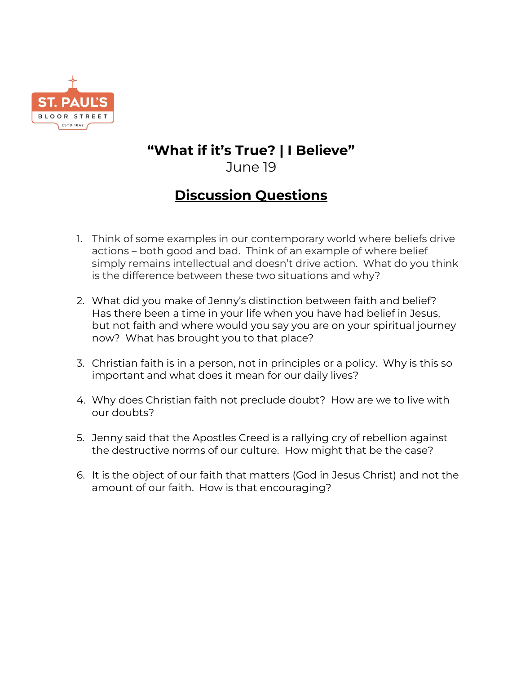

## **"What if it's True? | I Believe"** June 19

## **Discussion Questions**

- 1. Think of some examples in our contemporary world where beliefs drive actions – both good and bad. Think of an example of where belief simply remains intellectual and doesn't drive action. What do you think is the difference between these two situations and why?
- 2. What did you make of Jenny's distinction between faith and belief? Has there been a time in your life when you have had belief in Jesus, but not faith and where would you say you are on your spiritual journey now? What has brought you to that place?
- 3. Christian faith is in a person, not in principles or a policy. Why is this so important and what does it mean for our daily lives?
- 4. Why does Christian faith not preclude doubt? How are we to live with our doubts?
- 5. Jenny said that the Apostles Creed is a rallying cry of rebellion against the destructive norms of our culture. How might that be the case?
- 6. It is the object of our faith that matters (God in Jesus Christ) and not the amount of our faith. How is that encouraging?